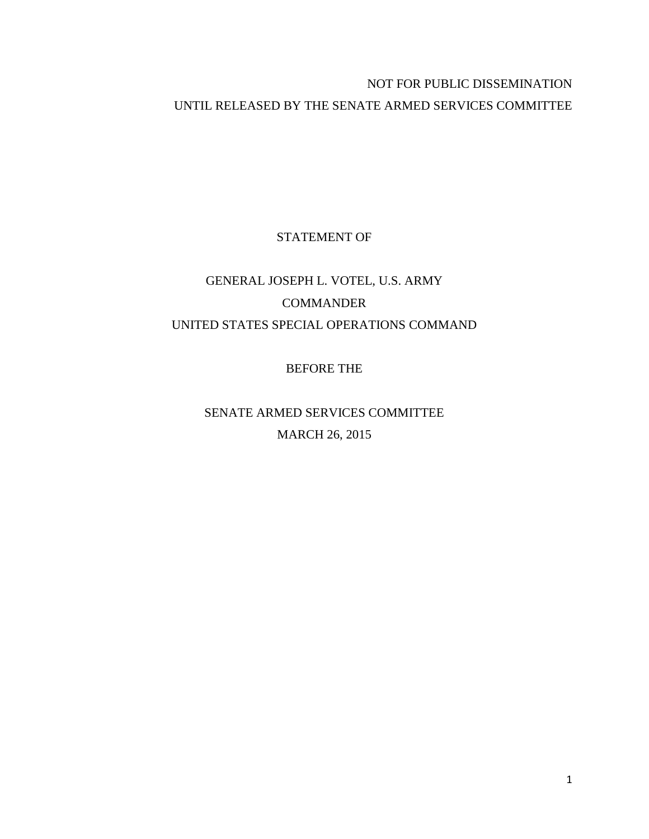## NOT FOR PUBLIC DISSEMINATION UNTIL RELEASED BY THE SENATE ARMED SERVICES COMMITTEE

## STATEMENT OF

# GENERAL JOSEPH L. VOTEL, U.S. ARMY COMMANDER UNITED STATES SPECIAL OPERATIONS COMMAND

BEFORE THE

SENATE ARMED SERVICES COMMITTEE MARCH 26, 2015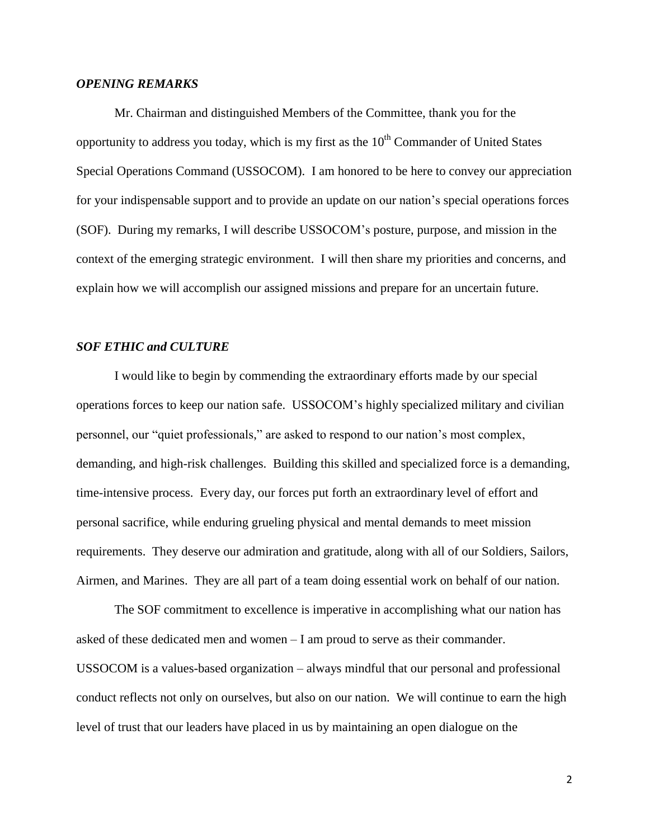### *OPENING REMARKS*

Mr. Chairman and distinguished Members of the Committee, thank you for the opportunity to address you today, which is my first as the  $10<sup>th</sup>$  Commander of United States Special Operations Command (USSOCOM). I am honored to be here to convey our appreciation for your indispensable support and to provide an update on our nation's special operations forces (SOF). During my remarks, I will describe USSOCOM's posture, purpose, and mission in the context of the emerging strategic environment. I will then share my priorities and concerns, and explain how we will accomplish our assigned missions and prepare for an uncertain future.

## *SOF ETHIC and CULTURE*

I would like to begin by commending the extraordinary efforts made by our special operations forces to keep our nation safe. USSOCOM's highly specialized military and civilian personnel, our "quiet professionals," are asked to respond to our nation's most complex, demanding, and high-risk challenges. Building this skilled and specialized force is a demanding, time-intensive process. Every day, our forces put forth an extraordinary level of effort and personal sacrifice, while enduring grueling physical and mental demands to meet mission requirements. They deserve our admiration and gratitude, along with all of our Soldiers, Sailors, Airmen, and Marines. They are all part of a team doing essential work on behalf of our nation.

The SOF commitment to excellence is imperative in accomplishing what our nation has asked of these dedicated men and women – I am proud to serve as their commander. USSOCOM is a values-based organization – always mindful that our personal and professional conduct reflects not only on ourselves, but also on our nation. We will continue to earn the high level of trust that our leaders have placed in us by maintaining an open dialogue on the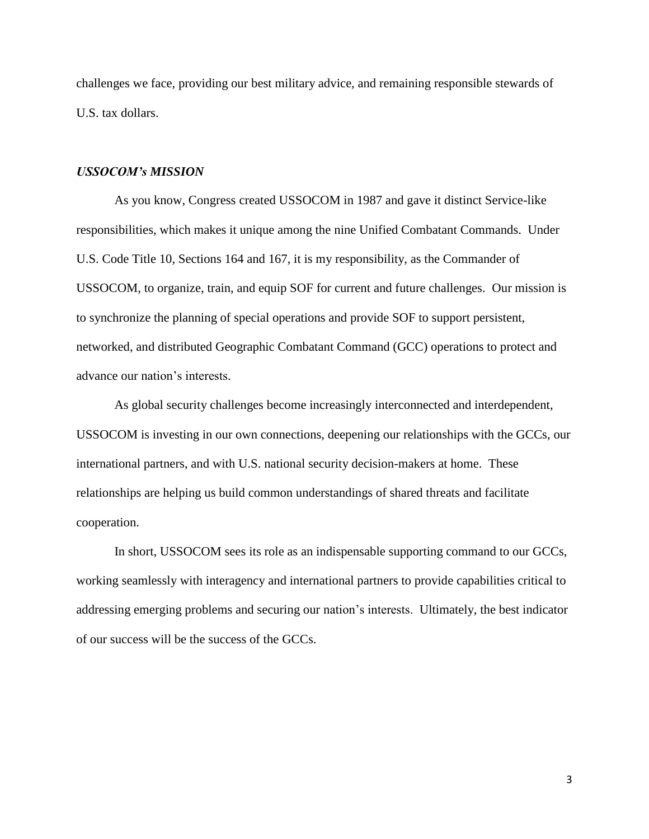challenges we face, providing our best military advice, and remaining responsible stewards of U.S. tax dollars.

#### *USSOCOM's MISSION*

As you know, Congress created USSOCOM in 1987 and gave it distinct Service-like responsibilities, which makes it unique among the nine Unified Combatant Commands. Under U.S. Code Title 10, Sections 164 and 167, it is my responsibility, as the Commander of USSOCOM, to organize, train, and equip SOF for current and future challenges. Our mission is to synchronize the planning of special operations and provide SOF to support persistent, networked, and distributed Geographic Combatant Command (GCC) operations to protect and advance our nation's interests.

As global security challenges become increasingly interconnected and interdependent, USSOCOM is investing in our own connections, deepening our relationships with the GCCs, our international partners, and with U.S. national security decision-makers at home. These relationships are helping us build common understandings of shared threats and facilitate cooperation.

In short, USSOCOM sees its role as an indispensable supporting command to our GCCs, working seamlessly with interagency and international partners to provide capabilities critical to addressing emerging problems and securing our nation's interests. Ultimately, the best indicator of our success will be the success of the GCCs.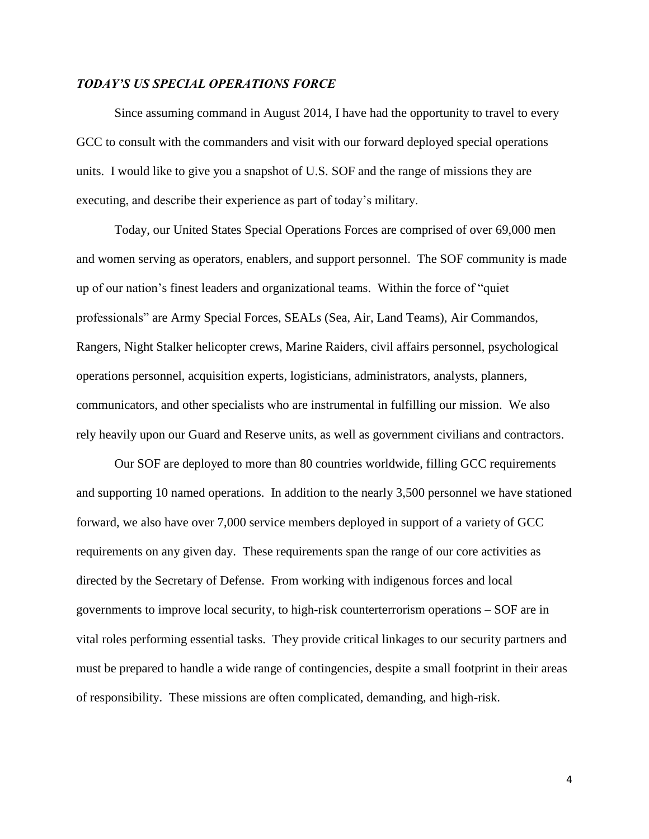## *TODAY'S US SPECIAL OPERATIONS FORCE*

Since assuming command in August 2014, I have had the opportunity to travel to every GCC to consult with the commanders and visit with our forward deployed special operations units. I would like to give you a snapshot of U.S. SOF and the range of missions they are executing, and describe their experience as part of today's military.

Today, our United States Special Operations Forces are comprised of over 69,000 men and women serving as operators, enablers, and support personnel. The SOF community is made up of our nation's finest leaders and organizational teams. Within the force of "quiet professionals" are Army Special Forces, SEALs (Sea, Air, Land Teams), Air Commandos, Rangers, Night Stalker helicopter crews, Marine Raiders, civil affairs personnel, psychological operations personnel, acquisition experts, logisticians, administrators, analysts, planners, communicators, and other specialists who are instrumental in fulfilling our mission. We also rely heavily upon our Guard and Reserve units, as well as government civilians and contractors.

Our SOF are deployed to more than 80 countries worldwide, filling GCC requirements and supporting 10 named operations. In addition to the nearly 3,500 personnel we have stationed forward, we also have over 7,000 service members deployed in support of a variety of GCC requirements on any given day. These requirements span the range of our core activities as directed by the Secretary of Defense. From working with indigenous forces and local governments to improve local security, to high-risk counterterrorism operations – SOF are in vital roles performing essential tasks. They provide critical linkages to our security partners and must be prepared to handle a wide range of contingencies, despite a small footprint in their areas of responsibility. These missions are often complicated, demanding, and high-risk.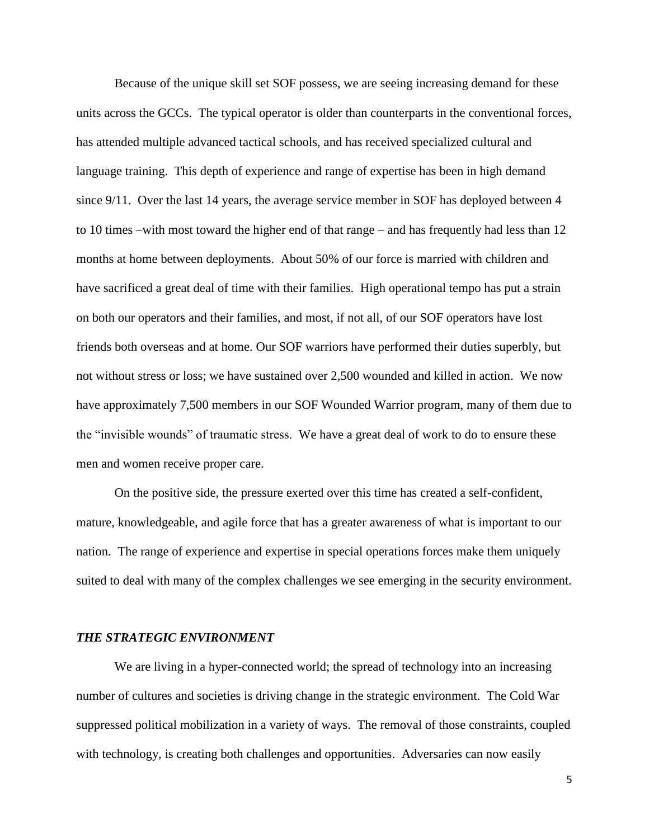Because of the unique skill set SOF possess, we are seeing increasing demand for these units across the GCCs. The typical operator is older than counterparts in the conventional forces, has attended multiple advanced tactical schools, and has received specialized cultural and language training. This depth of experience and range of expertise has been in high demand since 9/11. Over the last 14 years, the average service member in SOF has deployed between 4 to 10 times –with most toward the higher end of that range – and has frequently had less than 12 months at home between deployments. About 50% of our force is married with children and have sacrificed a great deal of time with their families. High operational tempo has put a strain on both our operators and their families, and most, if not all, of our SOF operators have lost friends both overseas and at home. Our SOF warriors have performed their duties superbly, but not without stress or loss; we have sustained over 2,500 wounded and killed in action. We now have approximately 7,500 members in our SOF Wounded Warrior program, many of them due to the "invisible wounds" of traumatic stress. We have a great deal of work to do to ensure these men and women receive proper care.

On the positive side, the pressure exerted over this time has created a self-confident, mature, knowledgeable, and agile force that has a greater awareness of what is important to our nation. The range of experience and expertise in special operations forces make them uniquely suited to deal with many of the complex challenges we see emerging in the security environment.

## *THE STRATEGIC ENVIRONMENT*

We are living in a hyper-connected world; the spread of technology into an increasing number of cultures and societies is driving change in the strategic environment. The Cold War suppressed political mobilization in a variety of ways. The removal of those constraints, coupled with technology, is creating both challenges and opportunities. Adversaries can now easily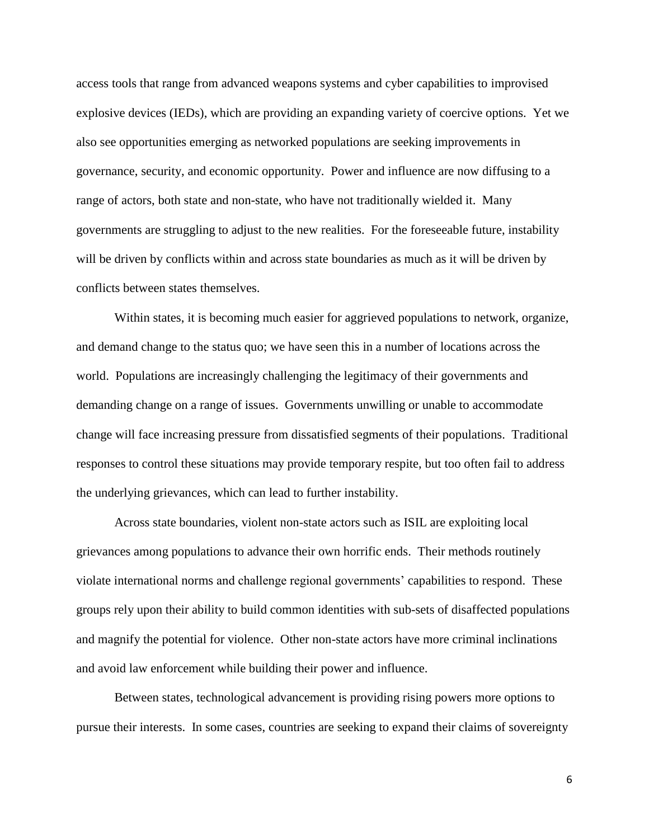access tools that range from advanced weapons systems and cyber capabilities to improvised explosive devices (IEDs), which are providing an expanding variety of coercive options. Yet we also see opportunities emerging as networked populations are seeking improvements in governance, security, and economic opportunity. Power and influence are now diffusing to a range of actors, both state and non-state, who have not traditionally wielded it. Many governments are struggling to adjust to the new realities. For the foreseeable future, instability will be driven by conflicts within and across state boundaries as much as it will be driven by conflicts between states themselves.

Within states, it is becoming much easier for aggrieved populations to network, organize, and demand change to the status quo; we have seen this in a number of locations across the world. Populations are increasingly challenging the legitimacy of their governments and demanding change on a range of issues. Governments unwilling or unable to accommodate change will face increasing pressure from dissatisfied segments of their populations. Traditional responses to control these situations may provide temporary respite, but too often fail to address the underlying grievances, which can lead to further instability.

Across state boundaries, violent non-state actors such as ISIL are exploiting local grievances among populations to advance their own horrific ends. Their methods routinely violate international norms and challenge regional governments' capabilities to respond. These groups rely upon their ability to build common identities with sub-sets of disaffected populations and magnify the potential for violence. Other non-state actors have more criminal inclinations and avoid law enforcement while building their power and influence.

Between states, technological advancement is providing rising powers more options to pursue their interests. In some cases, countries are seeking to expand their claims of sovereignty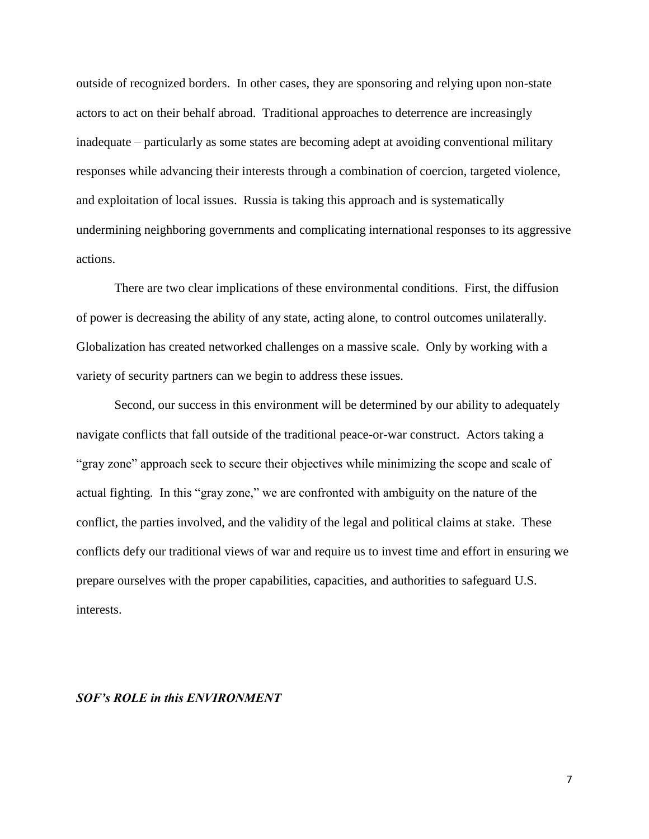outside of recognized borders. In other cases, they are sponsoring and relying upon non-state actors to act on their behalf abroad. Traditional approaches to deterrence are increasingly inadequate – particularly as some states are becoming adept at avoiding conventional military responses while advancing their interests through a combination of coercion, targeted violence, and exploitation of local issues. Russia is taking this approach and is systematically undermining neighboring governments and complicating international responses to its aggressive actions.

There are two clear implications of these environmental conditions. First, the diffusion of power is decreasing the ability of any state, acting alone, to control outcomes unilaterally. Globalization has created networked challenges on a massive scale. Only by working with a variety of security partners can we begin to address these issues.

Second, our success in this environment will be determined by our ability to adequately navigate conflicts that fall outside of the traditional peace-or-war construct. Actors taking a "gray zone" approach seek to secure their objectives while minimizing the scope and scale of actual fighting. In this "gray zone," we are confronted with ambiguity on the nature of the conflict, the parties involved, and the validity of the legal and political claims at stake. These conflicts defy our traditional views of war and require us to invest time and effort in ensuring we prepare ourselves with the proper capabilities, capacities, and authorities to safeguard U.S. interests.

#### *SOF's ROLE in this ENVIRONMENT*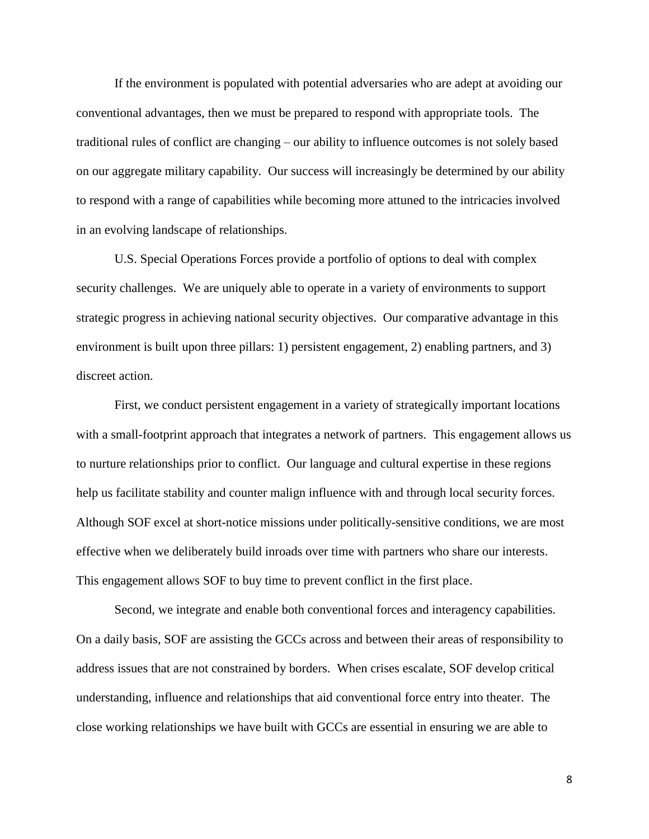If the environment is populated with potential adversaries who are adept at avoiding our conventional advantages, then we must be prepared to respond with appropriate tools. The traditional rules of conflict are changing – our ability to influence outcomes is not solely based on our aggregate military capability. Our success will increasingly be determined by our ability to respond with a range of capabilities while becoming more attuned to the intricacies involved in an evolving landscape of relationships.

U.S. Special Operations Forces provide a portfolio of options to deal with complex security challenges. We are uniquely able to operate in a variety of environments to support strategic progress in achieving national security objectives. Our comparative advantage in this environment is built upon three pillars: 1) persistent engagement, 2) enabling partners, and 3) discreet action.

First, we conduct persistent engagement in a variety of strategically important locations with a small-footprint approach that integrates a network of partners. This engagement allows us to nurture relationships prior to conflict. Our language and cultural expertise in these regions help us facilitate stability and counter malign influence with and through local security forces. Although SOF excel at short-notice missions under politically-sensitive conditions, we are most effective when we deliberately build inroads over time with partners who share our interests. This engagement allows SOF to buy time to prevent conflict in the first place.

Second, we integrate and enable both conventional forces and interagency capabilities. On a daily basis, SOF are assisting the GCCs across and between their areas of responsibility to address issues that are not constrained by borders. When crises escalate, SOF develop critical understanding, influence and relationships that aid conventional force entry into theater. The close working relationships we have built with GCCs are essential in ensuring we are able to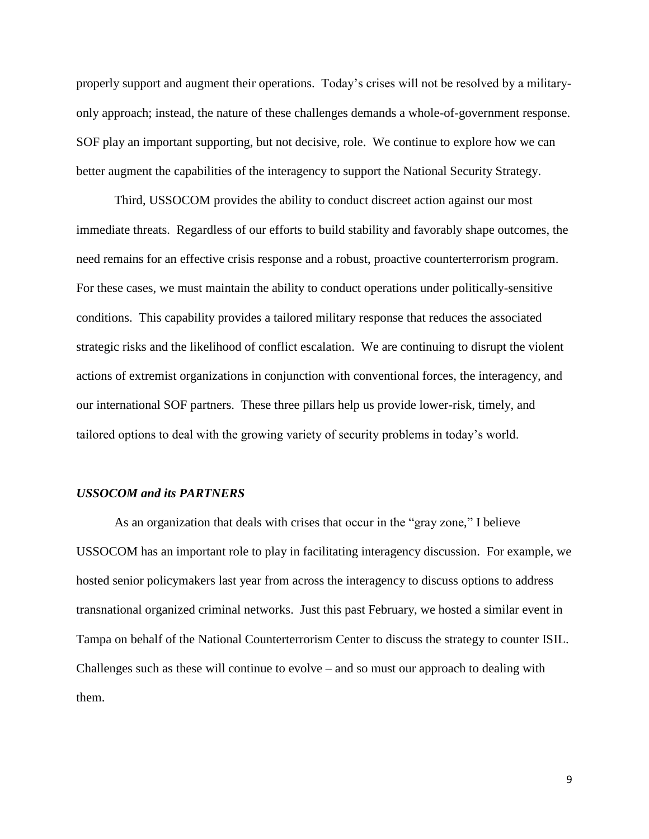properly support and augment their operations. Today's crises will not be resolved by a militaryonly approach; instead, the nature of these challenges demands a whole-of-government response. SOF play an important supporting, but not decisive, role. We continue to explore how we can better augment the capabilities of the interagency to support the National Security Strategy.

Third, USSOCOM provides the ability to conduct discreet action against our most immediate threats. Regardless of our efforts to build stability and favorably shape outcomes, the need remains for an effective crisis response and a robust, proactive counterterrorism program. For these cases, we must maintain the ability to conduct operations under politically-sensitive conditions. This capability provides a tailored military response that reduces the associated strategic risks and the likelihood of conflict escalation. We are continuing to disrupt the violent actions of extremist organizations in conjunction with conventional forces, the interagency, and our international SOF partners. These three pillars help us provide lower-risk, timely, and tailored options to deal with the growing variety of security problems in today's world.

#### *USSOCOM and its PARTNERS*

As an organization that deals with crises that occur in the "gray zone," I believe USSOCOM has an important role to play in facilitating interagency discussion. For example, we hosted senior policymakers last year from across the interagency to discuss options to address transnational organized criminal networks. Just this past February, we hosted a similar event in Tampa on behalf of the National Counterterrorism Center to discuss the strategy to counter ISIL. Challenges such as these will continue to evolve – and so must our approach to dealing with them.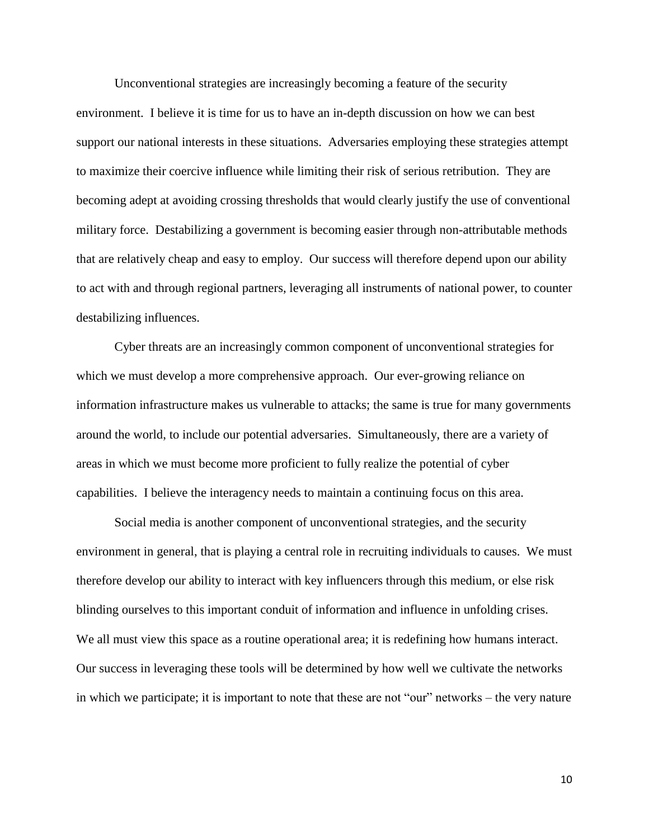Unconventional strategies are increasingly becoming a feature of the security environment. I believe it is time for us to have an in-depth discussion on how we can best support our national interests in these situations. Adversaries employing these strategies attempt to maximize their coercive influence while limiting their risk of serious retribution. They are becoming adept at avoiding crossing thresholds that would clearly justify the use of conventional military force. Destabilizing a government is becoming easier through non-attributable methods that are relatively cheap and easy to employ. Our success will therefore depend upon our ability to act with and through regional partners, leveraging all instruments of national power, to counter destabilizing influences.

Cyber threats are an increasingly common component of unconventional strategies for which we must develop a more comprehensive approach. Our ever-growing reliance on information infrastructure makes us vulnerable to attacks; the same is true for many governments around the world, to include our potential adversaries. Simultaneously, there are a variety of areas in which we must become more proficient to fully realize the potential of cyber capabilities. I believe the interagency needs to maintain a continuing focus on this area.

Social media is another component of unconventional strategies, and the security environment in general, that is playing a central role in recruiting individuals to causes. We must therefore develop our ability to interact with key influencers through this medium, or else risk blinding ourselves to this important conduit of information and influence in unfolding crises. We all must view this space as a routine operational area; it is redefining how humans interact. Our success in leveraging these tools will be determined by how well we cultivate the networks in which we participate; it is important to note that these are not "our" networks – the very nature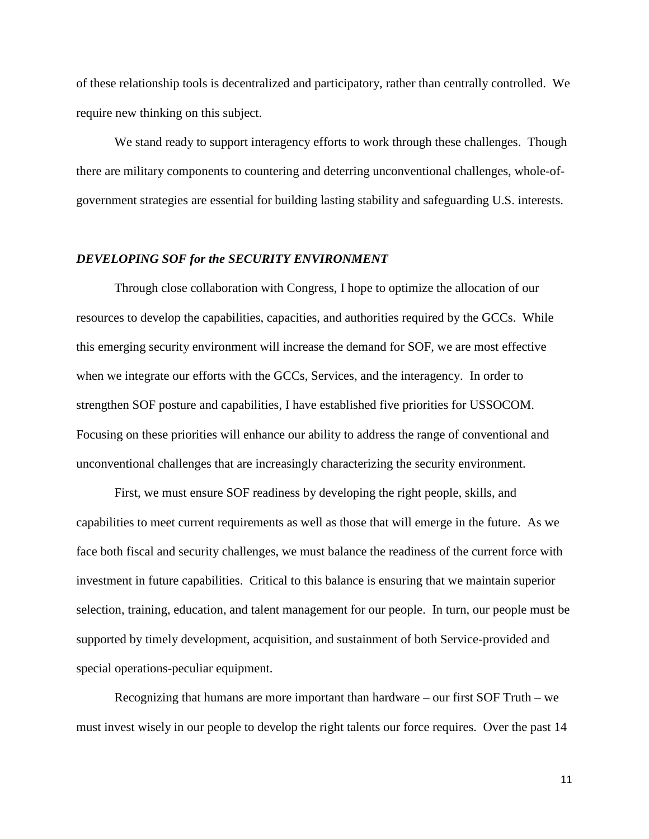of these relationship tools is decentralized and participatory, rather than centrally controlled. We require new thinking on this subject.

We stand ready to support interagency efforts to work through these challenges. Though there are military components to countering and deterring unconventional challenges, whole-ofgovernment strategies are essential for building lasting stability and safeguarding U.S. interests.

#### *DEVELOPING SOF for the SECURITY ENVIRONMENT*

Through close collaboration with Congress, I hope to optimize the allocation of our resources to develop the capabilities, capacities, and authorities required by the GCCs. While this emerging security environment will increase the demand for SOF, we are most effective when we integrate our efforts with the GCCs, Services, and the interagency. In order to strengthen SOF posture and capabilities, I have established five priorities for USSOCOM. Focusing on these priorities will enhance our ability to address the range of conventional and unconventional challenges that are increasingly characterizing the security environment.

First, we must ensure SOF readiness by developing the right people, skills, and capabilities to meet current requirements as well as those that will emerge in the future. As we face both fiscal and security challenges, we must balance the readiness of the current force with investment in future capabilities. Critical to this balance is ensuring that we maintain superior selection, training, education, and talent management for our people. In turn, our people must be supported by timely development, acquisition, and sustainment of both Service-provided and special operations-peculiar equipment.

Recognizing that humans are more important than hardware – our first SOF Truth – we must invest wisely in our people to develop the right talents our force requires. Over the past 14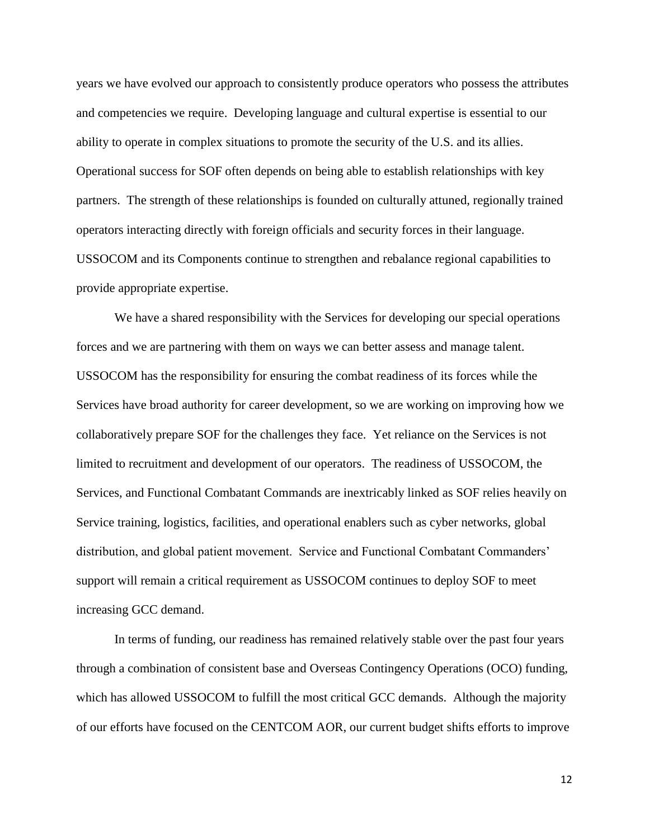years we have evolved our approach to consistently produce operators who possess the attributes and competencies we require. Developing language and cultural expertise is essential to our ability to operate in complex situations to promote the security of the U.S. and its allies. Operational success for SOF often depends on being able to establish relationships with key partners. The strength of these relationships is founded on culturally attuned, regionally trained operators interacting directly with foreign officials and security forces in their language. USSOCOM and its Components continue to strengthen and rebalance regional capabilities to provide appropriate expertise.

We have a shared responsibility with the Services for developing our special operations forces and we are partnering with them on ways we can better assess and manage talent. USSOCOM has the responsibility for ensuring the combat readiness of its forces while the Services have broad authority for career development, so we are working on improving how we collaboratively prepare SOF for the challenges they face. Yet reliance on the Services is not limited to recruitment and development of our operators. The readiness of USSOCOM, the Services, and Functional Combatant Commands are inextricably linked as SOF relies heavily on Service training, logistics, facilities, and operational enablers such as cyber networks, global distribution, and global patient movement. Service and Functional Combatant Commanders' support will remain a critical requirement as USSOCOM continues to deploy SOF to meet increasing GCC demand.

In terms of funding, our readiness has remained relatively stable over the past four years through a combination of consistent base and Overseas Contingency Operations (OCO) funding, which has allowed USSOCOM to fulfill the most critical GCC demands. Although the majority of our efforts have focused on the CENTCOM AOR, our current budget shifts efforts to improve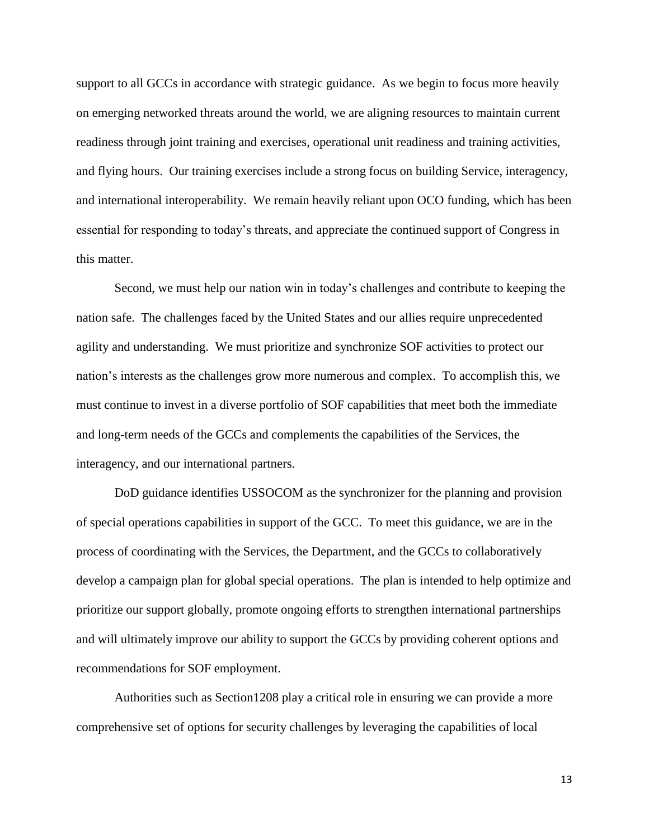support to all GCCs in accordance with strategic guidance. As we begin to focus more heavily on emerging networked threats around the world, we are aligning resources to maintain current readiness through joint training and exercises, operational unit readiness and training activities, and flying hours. Our training exercises include a strong focus on building Service, interagency, and international interoperability. We remain heavily reliant upon OCO funding, which has been essential for responding to today's threats, and appreciate the continued support of Congress in this matter.

Second, we must help our nation win in today's challenges and contribute to keeping the nation safe. The challenges faced by the United States and our allies require unprecedented agility and understanding. We must prioritize and synchronize SOF activities to protect our nation's interests as the challenges grow more numerous and complex. To accomplish this, we must continue to invest in a diverse portfolio of SOF capabilities that meet both the immediate and long-term needs of the GCCs and complements the capabilities of the Services, the interagency, and our international partners.

DoD guidance identifies USSOCOM as the synchronizer for the planning and provision of special operations capabilities in support of the GCC. To meet this guidance, we are in the process of coordinating with the Services, the Department, and the GCCs to collaboratively develop a campaign plan for global special operations. The plan is intended to help optimize and prioritize our support globally, promote ongoing efforts to strengthen international partnerships and will ultimately improve our ability to support the GCCs by providing coherent options and recommendations for SOF employment.

Authorities such as Section1208 play a critical role in ensuring we can provide a more comprehensive set of options for security challenges by leveraging the capabilities of local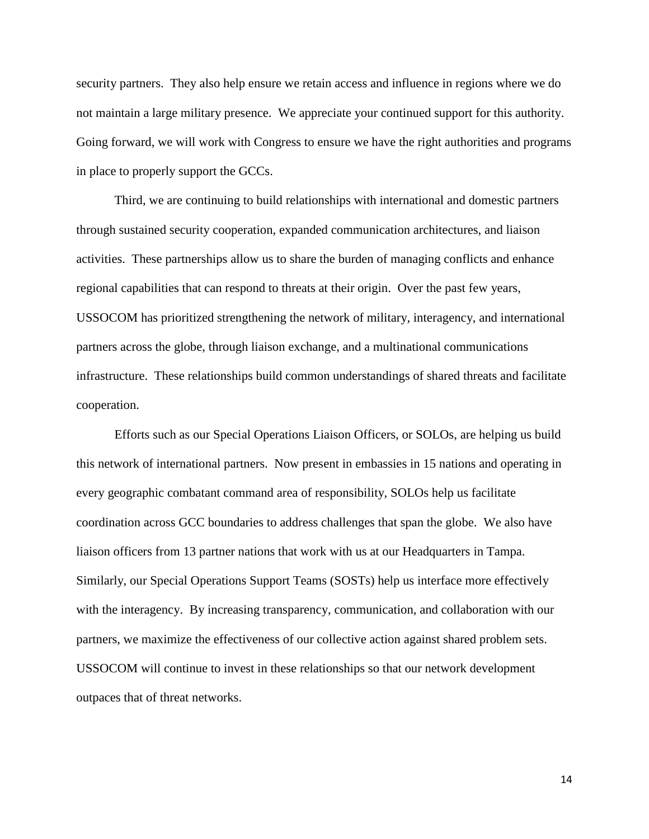security partners. They also help ensure we retain access and influence in regions where we do not maintain a large military presence. We appreciate your continued support for this authority. Going forward, we will work with Congress to ensure we have the right authorities and programs in place to properly support the GCCs.

Third, we are continuing to build relationships with international and domestic partners through sustained security cooperation, expanded communication architectures, and liaison activities. These partnerships allow us to share the burden of managing conflicts and enhance regional capabilities that can respond to threats at their origin. Over the past few years, USSOCOM has prioritized strengthening the network of military, interagency, and international partners across the globe, through liaison exchange, and a multinational communications infrastructure. These relationships build common understandings of shared threats and facilitate cooperation.

Efforts such as our Special Operations Liaison Officers, or SOLOs, are helping us build this network of international partners. Now present in embassies in 15 nations and operating in every geographic combatant command area of responsibility, SOLOs help us facilitate coordination across GCC boundaries to address challenges that span the globe. We also have liaison officers from 13 partner nations that work with us at our Headquarters in Tampa. Similarly, our Special Operations Support Teams (SOSTs) help us interface more effectively with the interagency. By increasing transparency, communication, and collaboration with our partners, we maximize the effectiveness of our collective action against shared problem sets. USSOCOM will continue to invest in these relationships so that our network development outpaces that of threat networks.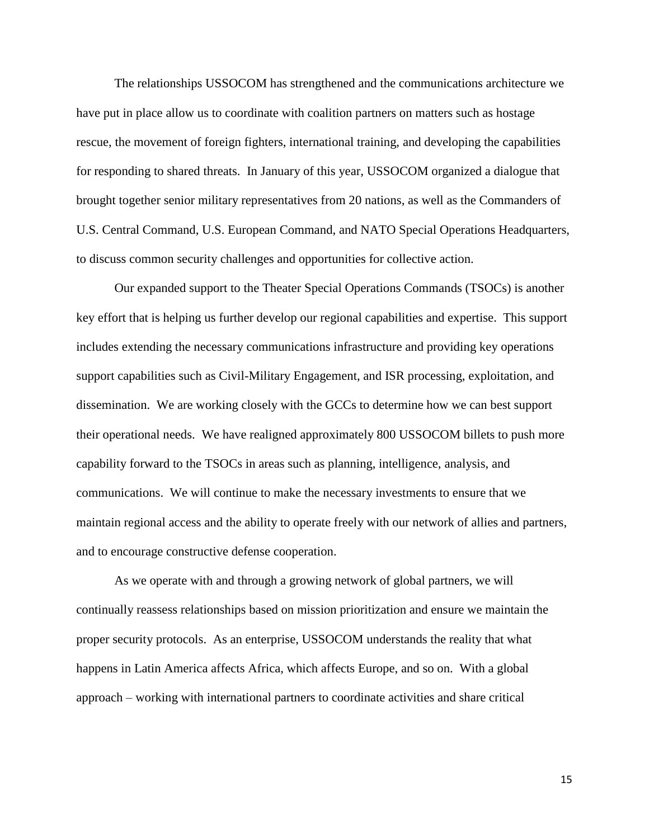The relationships USSOCOM has strengthened and the communications architecture we have put in place allow us to coordinate with coalition partners on matters such as hostage rescue, the movement of foreign fighters, international training, and developing the capabilities for responding to shared threats. In January of this year, USSOCOM organized a dialogue that brought together senior military representatives from 20 nations, as well as the Commanders of U.S. Central Command, U.S. European Command, and NATO Special Operations Headquarters, to discuss common security challenges and opportunities for collective action.

Our expanded support to the Theater Special Operations Commands (TSOCs) is another key effort that is helping us further develop our regional capabilities and expertise. This support includes extending the necessary communications infrastructure and providing key operations support capabilities such as Civil-Military Engagement, and ISR processing, exploitation, and dissemination. We are working closely with the GCCs to determine how we can best support their operational needs. We have realigned approximately 800 USSOCOM billets to push more capability forward to the TSOCs in areas such as planning, intelligence, analysis, and communications. We will continue to make the necessary investments to ensure that we maintain regional access and the ability to operate freely with our network of allies and partners, and to encourage constructive defense cooperation.

As we operate with and through a growing network of global partners, we will continually reassess relationships based on mission prioritization and ensure we maintain the proper security protocols. As an enterprise, USSOCOM understands the reality that what happens in Latin America affects Africa, which affects Europe, and so on. With a global approach – working with international partners to coordinate activities and share critical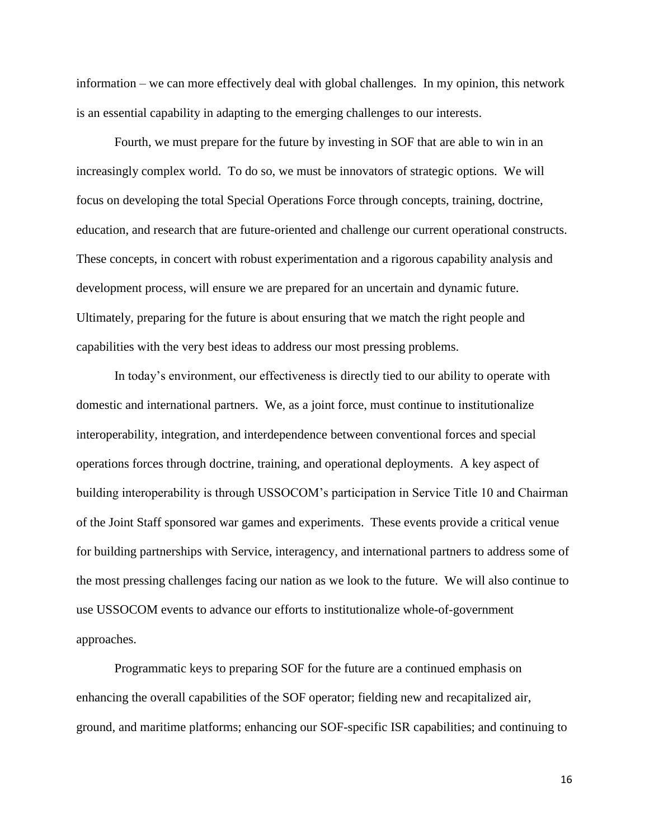information – we can more effectively deal with global challenges. In my opinion, this network is an essential capability in adapting to the emerging challenges to our interests.

Fourth, we must prepare for the future by investing in SOF that are able to win in an increasingly complex world. To do so, we must be innovators of strategic options. We will focus on developing the total Special Operations Force through concepts, training, doctrine, education, and research that are future-oriented and challenge our current operational constructs. These concepts, in concert with robust experimentation and a rigorous capability analysis and development process, will ensure we are prepared for an uncertain and dynamic future. Ultimately, preparing for the future is about ensuring that we match the right people and capabilities with the very best ideas to address our most pressing problems.

In today's environment, our effectiveness is directly tied to our ability to operate with domestic and international partners. We, as a joint force, must continue to institutionalize interoperability, integration, and interdependence between conventional forces and special operations forces through doctrine, training, and operational deployments. A key aspect of building interoperability is through USSOCOM's participation in Service Title 10 and Chairman of the Joint Staff sponsored war games and experiments. These events provide a critical venue for building partnerships with Service, interagency, and international partners to address some of the most pressing challenges facing our nation as we look to the future. We will also continue to use USSOCOM events to advance our efforts to institutionalize whole-of-government approaches.

Programmatic keys to preparing SOF for the future are a continued emphasis on enhancing the overall capabilities of the SOF operator; fielding new and recapitalized air, ground, and maritime platforms; enhancing our SOF-specific ISR capabilities; and continuing to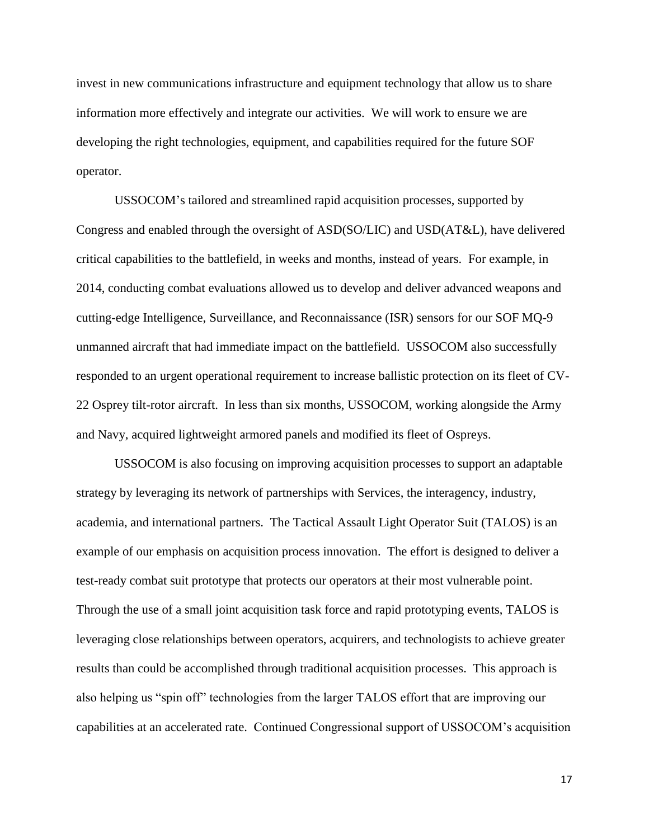invest in new communications infrastructure and equipment technology that allow us to share information more effectively and integrate our activities. We will work to ensure we are developing the right technologies, equipment, and capabilities required for the future SOF operator.

USSOCOM's tailored and streamlined rapid acquisition processes, supported by Congress and enabled through the oversight of ASD(SO/LIC) and USD(AT&L), have delivered critical capabilities to the battlefield, in weeks and months, instead of years. For example, in 2014, conducting combat evaluations allowed us to develop and deliver advanced weapons and cutting-edge Intelligence, Surveillance, and Reconnaissance (ISR) sensors for our SOF MQ-9 unmanned aircraft that had immediate impact on the battlefield. USSOCOM also successfully responded to an urgent operational requirement to increase ballistic protection on its fleet of CV-22 Osprey tilt-rotor aircraft. In less than six months, USSOCOM, working alongside the Army and Navy, acquired lightweight armored panels and modified its fleet of Ospreys.

USSOCOM is also focusing on improving acquisition processes to support an adaptable strategy by leveraging its network of partnerships with Services, the interagency, industry, academia, and international partners. The Tactical Assault Light Operator Suit (TALOS) is an example of our emphasis on acquisition process innovation. The effort is designed to deliver a test-ready combat suit prototype that protects our operators at their most vulnerable point. Through the use of a small joint acquisition task force and rapid prototyping events, TALOS is leveraging close relationships between operators, acquirers, and technologists to achieve greater results than could be accomplished through traditional acquisition processes. This approach is also helping us "spin off" technologies from the larger TALOS effort that are improving our capabilities at an accelerated rate. Continued Congressional support of USSOCOM's acquisition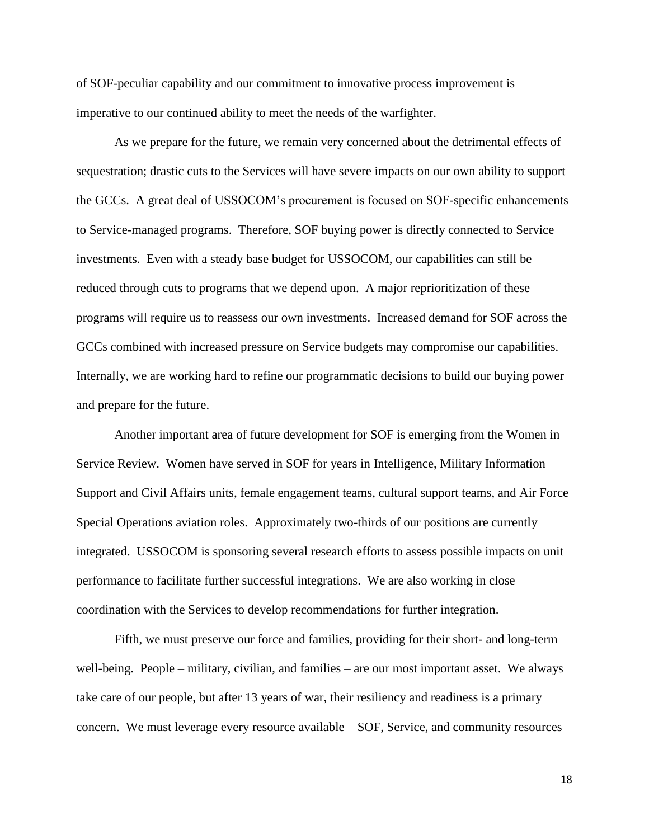of SOF-peculiar capability and our commitment to innovative process improvement is imperative to our continued ability to meet the needs of the warfighter.

As we prepare for the future, we remain very concerned about the detrimental effects of sequestration; drastic cuts to the Services will have severe impacts on our own ability to support the GCCs. A great deal of USSOCOM's procurement is focused on SOF-specific enhancements to Service-managed programs. Therefore, SOF buying power is directly connected to Service investments. Even with a steady base budget for USSOCOM, our capabilities can still be reduced through cuts to programs that we depend upon. A major reprioritization of these programs will require us to reassess our own investments. Increased demand for SOF across the GCCs combined with increased pressure on Service budgets may compromise our capabilities. Internally, we are working hard to refine our programmatic decisions to build our buying power and prepare for the future.

Another important area of future development for SOF is emerging from the Women in Service Review. Women have served in SOF for years in Intelligence, Military Information Support and Civil Affairs units, female engagement teams, cultural support teams, and Air Force Special Operations aviation roles. Approximately two-thirds of our positions are currently integrated. USSOCOM is sponsoring several research efforts to assess possible impacts on unit performance to facilitate further successful integrations. We are also working in close coordination with the Services to develop recommendations for further integration.

Fifth, we must preserve our force and families, providing for their short- and long-term well-being. People – military, civilian, and families – are our most important asset. We always take care of our people, but after 13 years of war, their resiliency and readiness is a primary concern. We must leverage every resource available – SOF, Service, and community resources –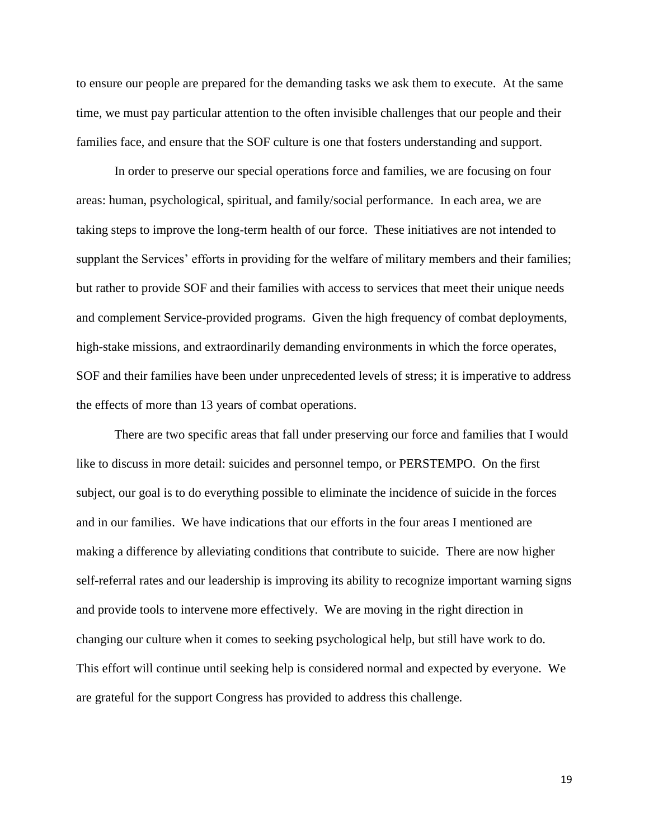to ensure our people are prepared for the demanding tasks we ask them to execute. At the same time, we must pay particular attention to the often invisible challenges that our people and their families face, and ensure that the SOF culture is one that fosters understanding and support.

In order to preserve our special operations force and families, we are focusing on four areas: human, psychological, spiritual, and family/social performance. In each area, we are taking steps to improve the long-term health of our force. These initiatives are not intended to supplant the Services' efforts in providing for the welfare of military members and their families; but rather to provide SOF and their families with access to services that meet their unique needs and complement Service-provided programs. Given the high frequency of combat deployments, high-stake missions, and extraordinarily demanding environments in which the force operates, SOF and their families have been under unprecedented levels of stress; it is imperative to address the effects of more than 13 years of combat operations.

There are two specific areas that fall under preserving our force and families that I would like to discuss in more detail: suicides and personnel tempo, or PERSTEMPO. On the first subject, our goal is to do everything possible to eliminate the incidence of suicide in the forces and in our families. We have indications that our efforts in the four areas I mentioned are making a difference by alleviating conditions that contribute to suicide. There are now higher self-referral rates and our leadership is improving its ability to recognize important warning signs and provide tools to intervene more effectively. We are moving in the right direction in changing our culture when it comes to seeking psychological help, but still have work to do. This effort will continue until seeking help is considered normal and expected by everyone. We are grateful for the support Congress has provided to address this challenge.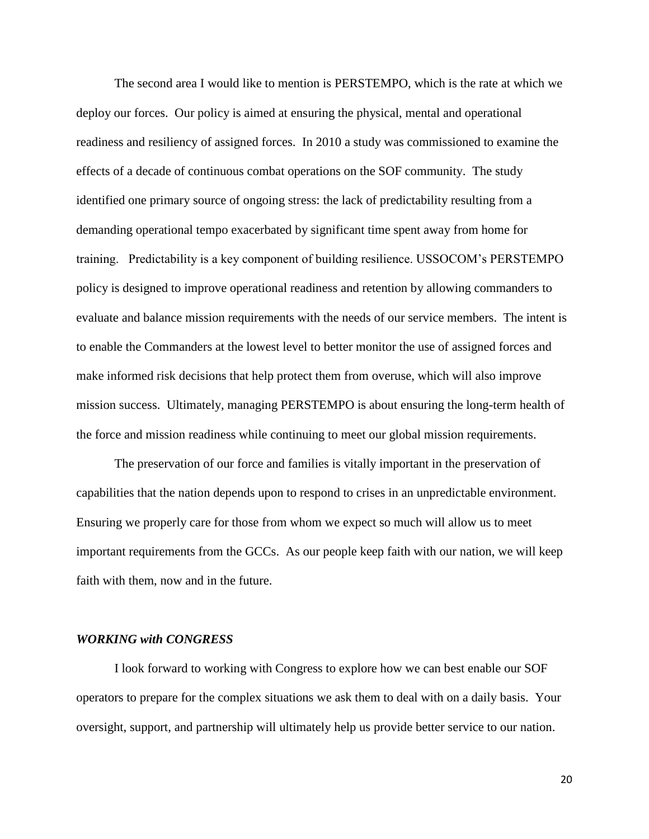The second area I would like to mention is PERSTEMPO, which is the rate at which we deploy our forces. Our policy is aimed at ensuring the physical, mental and operational readiness and resiliency of assigned forces. In 2010 a study was commissioned to examine the effects of a decade of continuous combat operations on the SOF community. The study identified one primary source of ongoing stress: the lack of predictability resulting from a demanding operational tempo exacerbated by significant time spent away from home for training. Predictability is a key component of building resilience. USSOCOM's PERSTEMPO policy is designed to improve operational readiness and retention by allowing commanders to evaluate and balance mission requirements with the needs of our service members. The intent is to enable the Commanders at the lowest level to better monitor the use of assigned forces and make informed risk decisions that help protect them from overuse, which will also improve mission success. Ultimately, managing PERSTEMPO is about ensuring the long-term health of the force and mission readiness while continuing to meet our global mission requirements.

The preservation of our force and families is vitally important in the preservation of capabilities that the nation depends upon to respond to crises in an unpredictable environment. Ensuring we properly care for those from whom we expect so much will allow us to meet important requirements from the GCCs. As our people keep faith with our nation, we will keep faith with them, now and in the future.

#### *WORKING with CONGRESS*

I look forward to working with Congress to explore how we can best enable our SOF operators to prepare for the complex situations we ask them to deal with on a daily basis. Your oversight, support, and partnership will ultimately help us provide better service to our nation.